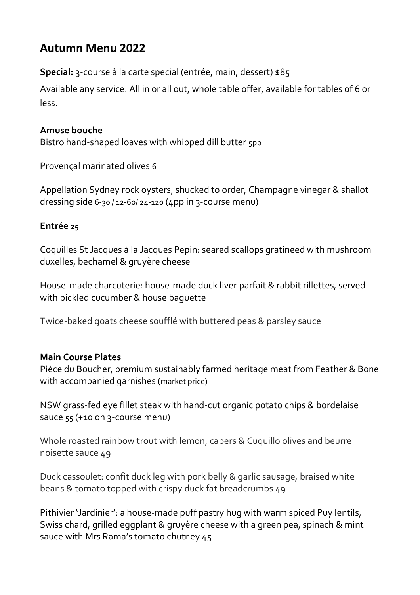# **Autumn Menu 2022**

**Special:** 3-course à la carte special (entrée, main, dessert) \$85

Available any service. All in or all out, whole table offer, available for tables of 6 or less.

## **Amuse bouche**

Bistro hand-shaped loaves with whipped dill butter 5pp

Provençal marinated olives 6

Appellation Sydney rock oysters, shucked to order, Champagne vinegar & shallot dressing side 6-30 / 12-60/ 24-120 (4pp in 3-course menu)

## **Entrée 25**

Coquilles St Jacques à la Jacques Pepin: seared scallops gratineed with mushroom duxelles, bechamel & gruyère cheese

House-made charcuterie: house-made duck liver parfait & rabbit rillettes, served with pickled cucumber & house baguette

Twice-baked goats cheese soufflé with buttered peas & parsley sauce

## **Main Course Plates**

Pièce du Boucher, premium sustainably farmed heritage meat from Feather & Bone with accompanied garnishes (market price)

NSW grass-fed eye fillet steak with hand-cut organic potato chips & bordelaise sauce 55 (+10 on 3-course menu)

Whole roasted rainbow trout with lemon, capers & Cuquillo olives and beurre noisette sauce 49

Duck cassoulet: confit duck leg with pork belly & garlic sausage, braised white beans & tomato topped with crispy duck fat breadcrumbs 49

Pithivier 'Jardinier': a house-made puff pastry hug with warm spiced Puy lentils, Swiss chard, grilled eggplant & gruyère cheese with a green pea, spinach & mint sauce with Mrs Rama's tomato chutney 45